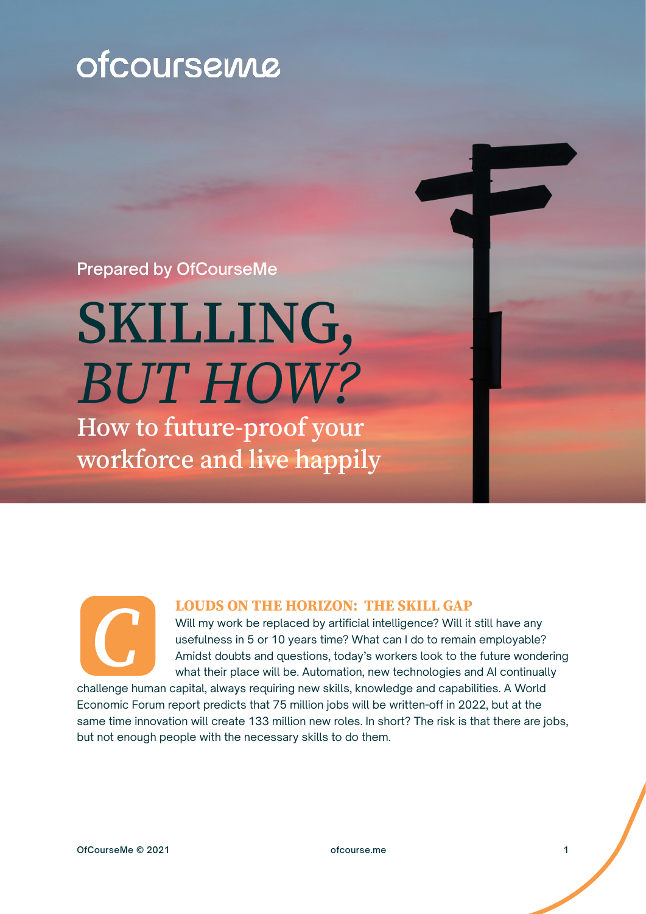# ofcoursewe

Prepared by OfCourseMe

# SKILLING, *BUT HOW?*

How to future-proof your workforce and live happily

#### **LOUDS ON THE HORIZON: THE SKILL GAP**

Will my work be replaced by artificial intelligence? Will it still have any usefulness in 5 or 10 years time? What can I do to remain employable? Amidst doubts and questions, today's workers look to the future wondering what their place will be. Automation, new technologies and AI continually

challenge human capital, always requiring new skills, knowledge and capabilities. A World Economic Forum report predicts that 75 million jobs will be written-off in 2022, but at the same time innovation will create 133 million new roles. In short? The risk is that there are jobs, but not enough people with the necessary skills to do them.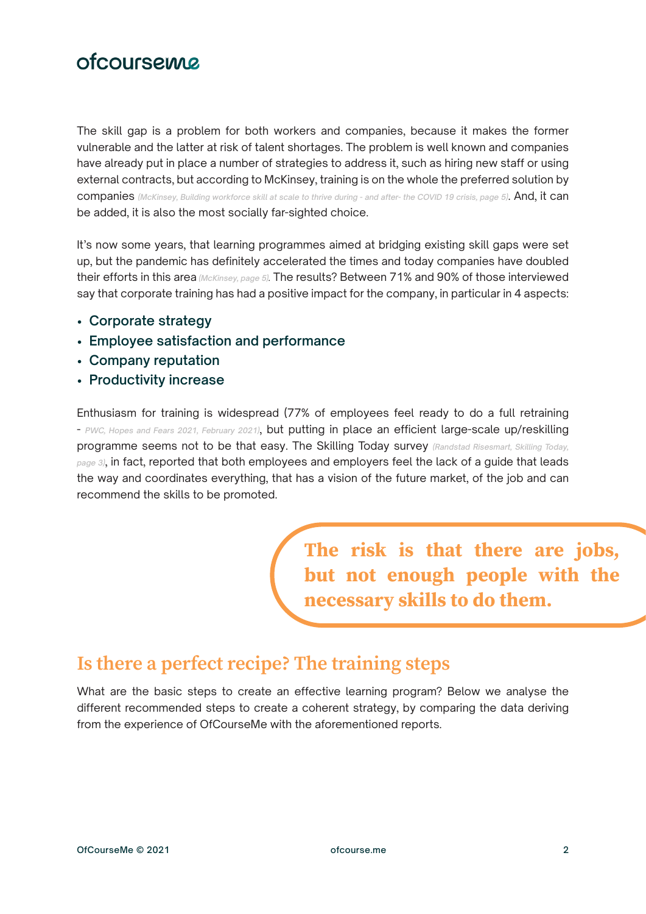# ofcourseme

The skill gap is a problem for both workers and companies, because it makes the former vulnerable and the latter at risk of talent shortages. The problem is well known and companies have already put in place a number of strategies to address it, such as hiring new staff or using external contracts, but according to McKinsey, training is on the whole the preferred solution by companies *(McKinsey, Building workforce skill at scale to thrive during - and after- the COVID 19 crisis, page 5)*. And, it can be added, it is also the most socially far-sighted choice.

It's now some years, that learning programmes aimed at bridging existing skill gaps were set up, but the pandemic has definitely accelerated the times and today companies have doubled their efforts in this area *(McKinsey, page 5).* The results? Between 71% and 90% of those interviewed say that corporate training has had a positive impact for the company, in particular in 4 aspects:

- **Corporate strategy**
- **Employee satisfaction and performance**
- **Company reputation**
- **Productivity increase**

Enthusiasm for training is widespread (77% of employees feel ready to do a full retraining - *PWC, Hopes and Fears 2021, February 2021)*, but putting in place an efficient large-scale up/reskilling programme seems not to be that easy. The Skilling Today survey *(Randstad Risesmart, Skilling Today, page 3)*, in fact, reported that both employees and employers feel the lack of a guide that leads the way and coordinates everything, that has a vision of the future market, of the job and can recommend the skills to be promoted.

> **The risk is that there are jobs, but not enough people with the necessary skills to do them.**

#### **Is there a perfect recipe? The training steps**

What are the basic steps to create an effective learning program? Below we analyse the different recommended steps to create a coherent strategy, by comparing the data deriving from the experience of OfCourseMe with the aforementioned reports.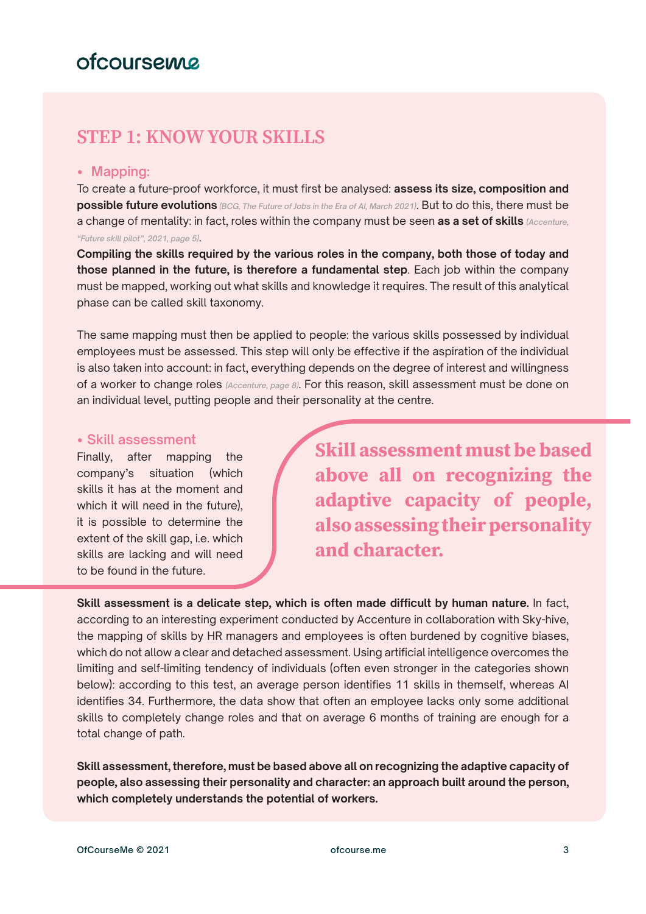### **STEP 1: KNOW YOUR SKILLS**

#### **• Mapping:**

To create a future-proof workforce, it must first be analysed: **assess its size, composition and possible future evolutions** *(BCG, The Future of Jobs in the Era of AI, March 2021)*. But to do this, there must be a change of mentality: in fact, roles within the company must be seen **as a set of skills** *(Accenture, "Future skill pilot", 2021, page 5)*.

**Compiling the skills required by the various roles in the company, both those of today and those planned in the future, is therefore a fundamental step**. Each job within the company must be mapped, working out what skills and knowledge it requires. The result of this analytical phase can be called skill taxonomy.

The same mapping must then be applied to people: the various skills possessed by individual employees must be assessed. This step will only be effective if the aspiration of the individual is also taken into account: in fact, everything depends on the degree of interest and willingness of a worker to change roles *(Accenture, page 8)*. For this reason, skill assessment must be done on an individual level, putting people and their personality at the centre.

#### **• Skill assessment**

Finally, after mapping the company's situation (which skills it has at the moment and which it will need in the future), it is possible to determine the extent of the skill gap, i.e. which skills are lacking and will need to be found in the future.

**Skill assessment must be based above all on recognizing the adaptive capacity of people, also assessing their personality and character.**

**Skill assessment is a delicate step, which is often made difficult by human nature.** In fact, according to an interesting experiment conducted by Accenture in collaboration with Sky-hive, the mapping of skills by HR managers and employees is often burdened by cognitive biases, which do not allow a clear and detached assessment. Using artificial intelligence overcomes the limiting and self-limiting tendency of individuals (often even stronger in the categories shown below): according to this test, an average person identifies 11 skills in themself, whereas AI identifies 34. Furthermore, the data show that often an employee lacks only some additional skills to completely change roles and that on average 6 months of training are enough for a total change of path.

**Skill assessment, therefore, must be based above all on recognizing the adaptive capacity of people, also assessing their personality and character: an approach built around the person, which completely understands the potential of workers.**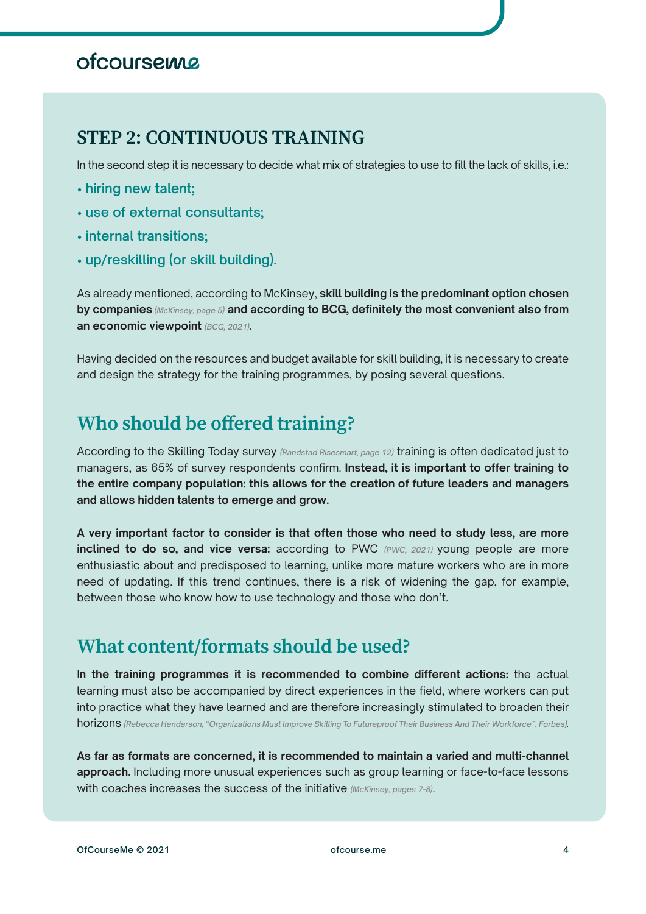# ofcourseme

#### **STEP 2: CONTINUOUS TRAINING**

In the second step it is necessary to decide what mix of strategies to use to fill the lack of skills, i.e.:

- **hiring new talent;**
- **use of external consultants;**
- **internal transitions;**
- **up/reskilling (or skill building).**

As already mentioned, according to McKinsey, **skill building is the predominant option chosen by companies** *(McKinsey, page 5)* **and according to BCG, definitely the most convenient also from an economic viewpoint** *(BCG, 2021)*.

Having decided on the resources and budget available for skill building, it is necessary to create and design the strategy for the training programmes, by posing several questions.

#### **Who should be offered training?**

According to the Skilling Today survey *(Randstad Risesmart, page 12)* training is often dedicated just to managers, as 65% of survey respondents confirm. **Instead, it is important to offer training to the entire company population: this allows for the creation of future leaders and managers and allows hidden talents to emerge and grow.** 

**A very important factor to consider is that often those who need to study less, are more inclined to do so, and vice versa:** according to PWC *(PWC, 2021)* young people are more enthusiastic about and predisposed to learning, unlike more mature workers who are in more need of updating. If this trend continues, there is a risk of widening the gap, for example, between those who know how to use technology and those who don't.

#### **What content/formats should be used?**

I**n the training programmes it is recommended to combine different actions:** the actual learning must also be accompanied by direct experiences in the field, where workers can put into practice what they have learned and are therefore increasingly stimulated to broaden their horizons *(Rebecca Henderson, "Organizations Must Improve Skilling To Futureproof Their Business And Their Workforce", Forbes).*

**As far as formats are concerned, it is recommended to maintain a varied and multi-channel**  approach. Including more unusual experiences such as group learning or face-to-face lessons with coaches increases the success of the initiative *(McKinsey, pages 7-8)*.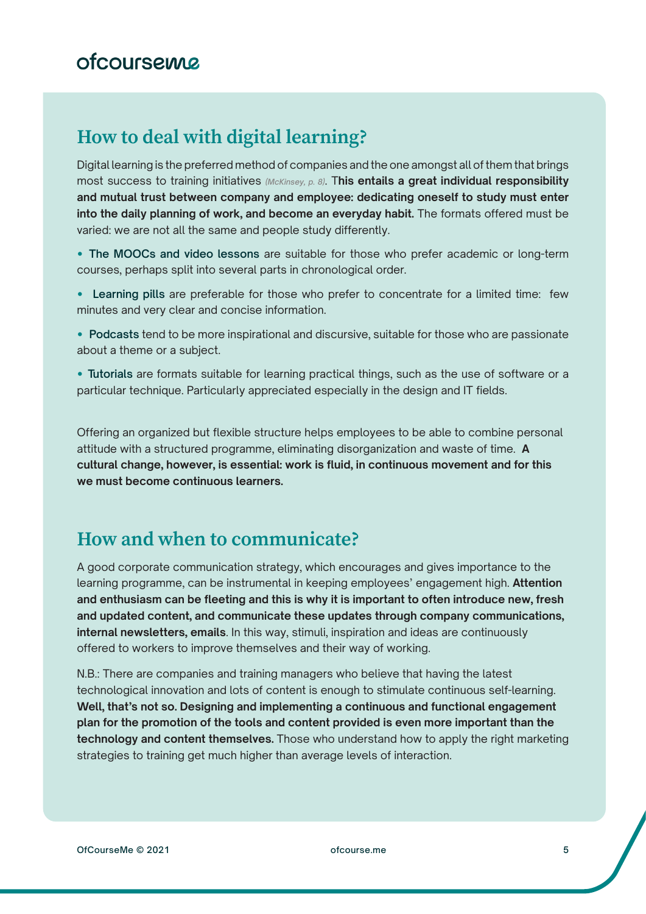#### **How to deal with digital learning?**

Digital learning is the preferred method of companies and the one amongst all of them that brings most success to training initiatives *(McKinsey, p. 8)*. T**his entails a great individual responsibility and mutual trust between company and employee: dedicating oneself to study must enter into the daily planning of work, and become an everyday habit.** The formats offered must be varied: we are not all the same and people study differently.

**• The MOOCs and video lessons** are suitable for those who prefer academic or long-term courses, perhaps split into several parts in chronological order.

- **Learning pills** are preferable for those who prefer to concentrate for a limited time: few minutes and very clear and concise information.
- **Podcasts** tend to be more inspirational and discursive, suitable for those who are passionate about a theme or a subject.
- **Tutorials** are formats suitable for learning practical things, such as the use of software or a particular technique. Particularly appreciated especially in the design and IT fields.

Offering an organized but flexible structure helps employees to be able to combine personal attitude with a structured programme, eliminating disorganization and waste of time. **A cultural change, however, is essential: work is fluid, in continuous movement and for this we must become continuous learners.** 

### **How and when to communicate?**

A good corporate communication strategy, which encourages and gives importance to the learning programme, can be instrumental in keeping employees' engagement high. **Attention and enthusiasm can be fleeting and this is why it is important to often introduce new, fresh and updated content, and communicate these updates through company communications, internal newsletters, emails**. In this way, stimuli, inspiration and ideas are continuously offered to workers to improve themselves and their way of working.

N.B.: There are companies and training managers who believe that having the latest technological innovation and lots of content is enough to stimulate continuous self-learning. **Well, that's not so. Designing and implementing a continuous and functional engagement plan for the promotion of the tools and content provided is even more important than the technology and content themselves.** Those who understand how to apply the right marketing strategies to training get much higher than average levels of interaction.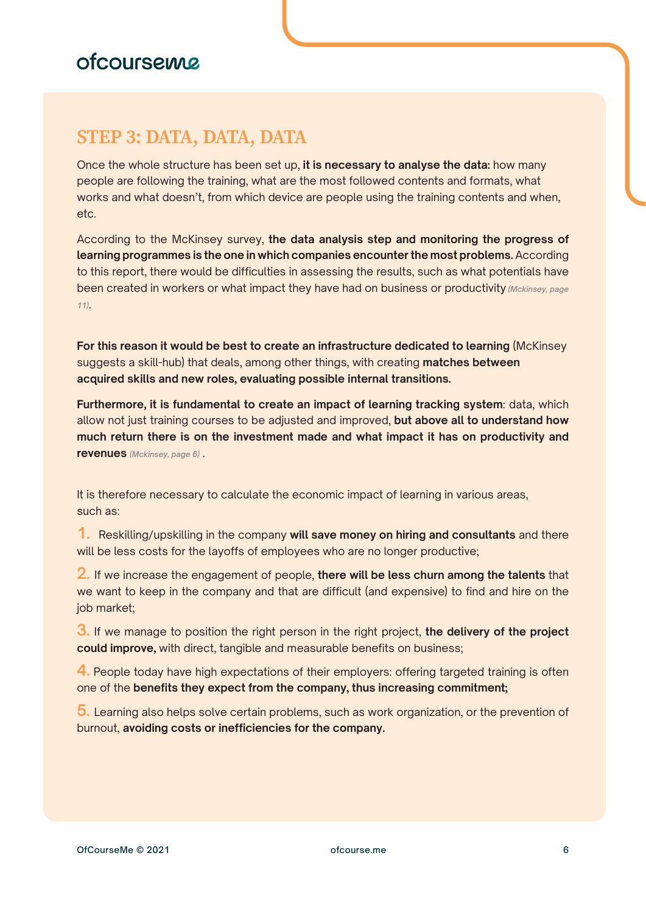### **STEP 3: DATA, DATA, DATA**

Once the whole structure has been set up, **it is necessary to analyse the data:** how many people are following the training, what are the most followed contents and formats, what works and what doesn't, from which device are people using the training contents and when, etc.

According to the McKinsey survey, **the data analysis step and monitoring the progress of learning programmes is the one in which companies encounter the most problems.** According to this report, there would be difficulties in assessing the results, such as what potentials have been created in workers or what impact they have had on business or productivity *(Mckinsey, page 11)*.

**For this reason it would be best to create an infrastructure dedicated to learning** (McKinsey suggests a skill-hub) that deals, among other things, with creating **matches between acquired skills and new roles, evaluating possible internal transitions.**

**Furthermore, it is fundamental to create an impact of learning tracking system**: data, which allow not just training courses to be adjusted and improved, **but above all to understand how much return there is on the investment made and what impact it has on productivity and revenues** *(Mckinsey, page 6)* .

It is therefore necessary to calculate the economic impact of learning in various areas, such as:

**1.** Reskilling/upskilling in the company **will save money on hiring and consultants** and there will be less costs for the layoffs of employees who are no longer productive;

**2.** If we increase the engagement of people, **there will be less churn among the talents** that we want to keep in the company and that are difficult (and expensive) to find and hire on the job market;

**3.** If we manage to position the right person in the right project, **the delivery of the project could improve,** with direct, tangible and measurable benefits on business;

**4.** People today have high expectations of their employers: offering targeted training is often one of the **benefits they expect from the company, thus increasing commitment;**

**5.** Learning also helps solve certain problems, such as work organization, or the prevention of burnout, **avoiding costs or inefficiencies for the company.**